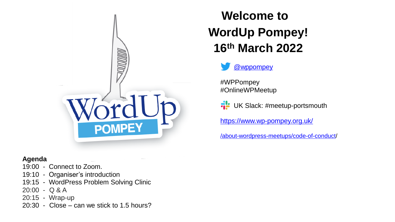

#### **Agenda**

- 19:00 Connect to Zoom.
- 19:10 Organiser's introduction
- 19:15 WordPress Problem Solving Clinic
- 20:00 Q & A
- 20:15 Wrap-up
- 20:30 Close can we stick to 1.5 hours?

#### **Welcome to WordUp Pompey! 16th March 2022**



#WPPompey #OnlineWPMeetup

**FL** UK Slack: #meetup-portsmouth

<https://www.wp-pompey.org.uk/>

[/about-wordpress-meetups/code-of-conduct/](https://www.wp-pompey.org.uk/about-wordpress-meetups/code-of-conduct/)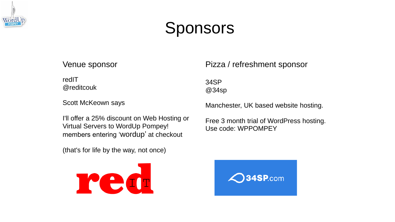

## Sponsors

#### Venue sponsor

redIT @reditcouk

Scott McKeown says

I'll offer a 25% discount on Web Hosting or Virtual Servers to WordUp Pompey! members entering 'wordup' at checkout

(that's for life by the way, not once)



Pizza / refreshment sponsor

34SP @34sp

Manchester, UK based website hosting.

Free 3 month trial of WordPress hosting. Use code: WPPOMPEY

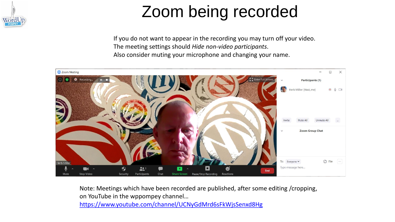

# Zoom being recorded

If you do not want to appear in the recording you may turn off your video. The meeting settings should *Hide non-video participants*. Also consider muting your microphone and changing your name.



Note: Meetings which have been recorded are published, after some editing /cropping, on YouTube in the wppompey channel… <https://www.youtube.com/channel/UCNyGdMrd6sFkWjsSenxd8Hg>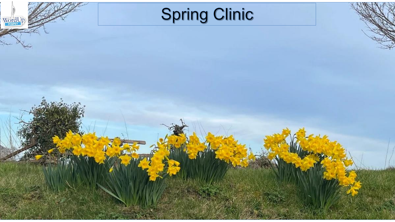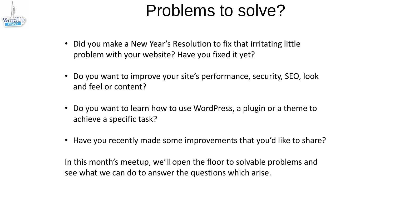

# Problems to solve?

- Did you make a New Year's Resolution to fix that irritating little problem with your website? Have you fixed it yet?
- Do you want to improve your site's performance, security, SEO, look and feel or content?
- Do you want to learn how to use WordPress, a plugin or a theme to achieve a specific task?
- Have you recently made some improvements that you'd like to share?

In this month's meetup, we'll open the floor to solvable problems and see what we can do to answer the questions which arise.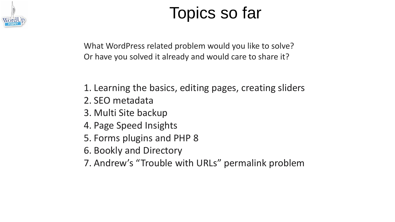

# Topics so far

What WordPress related problem would you like to solve? Or have you solved it already and would care to share it?

- 1. Learning the basics, editing pages, creating sliders
- 2. SEO metadata
- 3. Multi Site backup
- 4. Page Speed Insights
- 5. Forms plugins and PHP 8
- 6. Bookly and Directory
- 7. Andrew's "Trouble with URLs" permalink problem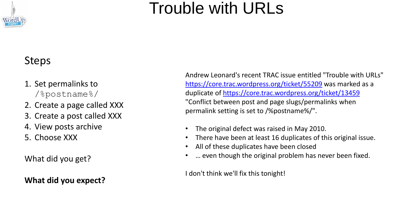# Trouble with URLs

#### Steps

- 1. Set permalinks to /%postname%/
- 2. Create a page called XXX
- 3. Create a post called XXX
- 4. View posts archive
- 5. Choose XXX

What did you get?

**What did you expect?**

Andrew Leonard's recent TRAC issue entitled "Trouble with URLs" <https://core.trac.wordpress.org/ticket/55209> was marked as a duplicate of<https://core.trac.wordpress.org/ticket/13459> "Conflict between post and page slugs/permalinks when permalink setting is set to /%postname%/".

- The original defect was raised in May 2010.
- There have been at least 16 duplicates of this original issue.
- All of these duplicates have been closed
- ... even though the original problem has never been fixed.

I don't think we'll fix this tonight!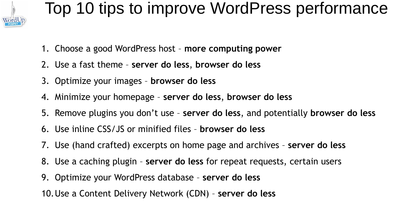

#### Top 10 tips to improve WordPress performance

- 1. Choose a good WordPress host **more computing power**
- 2. Use a fast theme **server do less**, **browser do less**
- 3. Optimize your images **browser do less**
- 4. Minimize your homepage **server do less**, **browser do less**
- 5. Remove plugins you don't use **server do less**, and potentially **browser do less**
- 6. Use inline CSS/JS or minified files **browser do less**
- 7. Use (hand crafted) excerpts on home page and archives **server do less**
- 8. Use a caching plugin **server do less** for repeat requests, certain users
- 9. Optimize your WordPress database **server do less**
- 10.Use a Content Delivery Network (CDN) **server do less**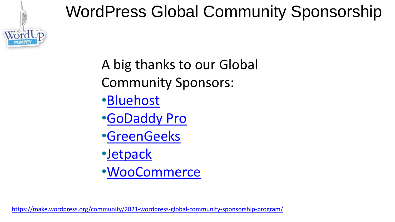

#### WordPress Global Community Sponsorship

A big thanks to our Global Community Sponsors:

- •[Bluehost](https://meetup.us17.list-manage.com/track/click?u=0f93eb6000a019fcbd53d10be&id=bdf3f1bbf4&e=c441ff5644)
- •[GoDaddy Pro](https://meetup.us17.list-manage.com/track/click?u=0f93eb6000a019fcbd53d10be&id=e5ac90830e&e=c441ff5644)
- •[GreenGeeks](https://meetup.us17.list-manage.com/track/click?u=0f93eb6000a019fcbd53d10be&id=798cd8b183&e=c441ff5644)
- •[Jetpack](https://meetup.us17.list-manage.com/track/click?u=0f93eb6000a019fcbd53d10be&id=fa1040afe7&e=c441ff5644)
- •[WooCommerce](https://meetup.us17.list-manage.com/track/click?u=0f93eb6000a019fcbd53d10be&id=07ae460f19&e=c441ff5644)

<https://make.wordpress.org/community/2021-wordpress-global-community-sponsorship-program/>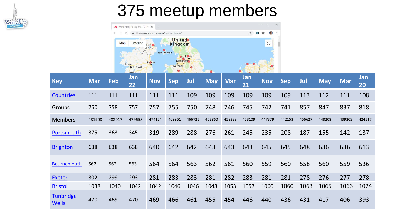

#### 375 meetup members



| <b>Key</b>                       | <b>Mar</b> | Feb    | Jan<br>22 | <b>Nov</b> | <b>Sep</b> | Jul    | <b>May</b> | <b>Mar</b> | Jan<br>21 | <b>Nov</b> | <b>Sep</b> | Jul    | <b>May</b> | Mar    | Jan<br>20 |
|----------------------------------|------------|--------|-----------|------------|------------|--------|------------|------------|-----------|------------|------------|--------|------------|--------|-----------|
| <b>Countries</b>                 | 111        | 111    | 111       | 111        | 111        | 109    | 109        | 109        | 109       | 109        | 109        | 113    | 112        | 111    | 108       |
| <b>Groups</b>                    | 760        | 758    | 757       | 757        | 755        | 750    | 748        | 746        | 745       | 742        | 741        | 857    | 847        | 837    | 818       |
| <b>Members</b>                   | 481908     | 482017 | 479658    | 474124     | 469961     | 466725 | 462860     | 458338     | 453109    | 447379     | 442153     | 456627 | 448208     | 439203 | 424517    |
| Portsmouth                       | 375        | 363    | 345       | 319        | 289        | 288    | 276        | 261        | 245       | 235        | 208        | 187    | 155        | 142    | 137       |
| <b>Brighton</b>                  | 638        | 638    | 638       | 640        | 642        | 642    | 643        | 643        | 643       | 645        | 645        | 648    | 636        | 636    | 613       |
| <b>Bournemouth</b>               | 562        | 562    | 563       | 564        | 564        | 563    | 562        | 561        | 560       | 559        | 560        | 558    | 560        | 559    | 536       |
| <b>Exeter</b>                    | 302        | 299    | 293       | 281        | 283        | 283    | 281        | 282        | 283       | 281        | 281        | 278    | 276        | 277    | 278       |
| <b>Bristol</b>                   | 1038       | 1040   | 1042      | 1042       | 1046       | 1046   | 1048       | 1053       | 1057      | 1060       | 1060       | 1063   | 1065       | 1066   | 1024      |
| <b>Tunbridge</b><br><b>Wells</b> | 470        | 469    | 470       | 469        | 466        | 461    | 455        | 454        | 446       | 440        | 436        | 431    | 417        | 406    | 393       |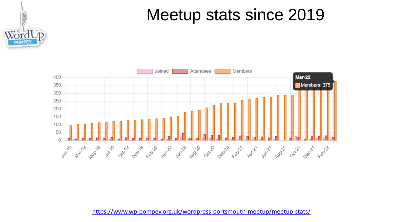#### Meetup stats since 2019





<https://www.wp-pompey.org.uk/wordpress-portsmouth-meetup/meetup-stats/>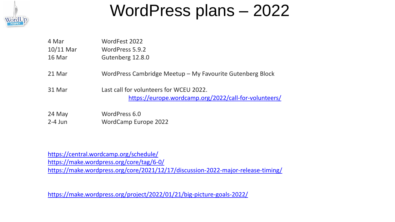

#### WordPress plans – 2022

| 4 Mar       | WordFest 2022                                                                                    |
|-------------|--------------------------------------------------------------------------------------------------|
| $10/11$ Mar | WordPress 5.9.2                                                                                  |
| 16 Mar      | Gutenberg 12.8.0                                                                                 |
| 21 Mar      | WordPress Cambridge Meetup - My Favourite Gutenberg Block                                        |
| 31 Mar      | Last call for volunteers for WCEU 2022.<br>https://europe.wordcamp.org/2022/call-for-volunteers/ |
| 24 May      | WordPress 6.0                                                                                    |
| $2-4$ Jun   | <b>WordCamp Europe 2022</b>                                                                      |

<https://central.wordcamp.org/schedule/> <https://make.wordpress.org/core/tag/6-0/> <https://make.wordpress.org/core/2021/12/17/discussion-2022-major-release-timing/>

<https://make.wordpress.org/project/2022/01/21/big-picture-goals-2022/>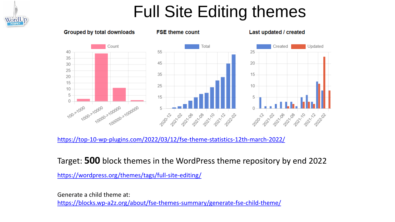#### Full Site Editing themes



<https://top-10-wp-plugins.com/2022/03/12/fse-theme-statistics-12th-march-2022/>

Target: **500** block themes in the WordPress theme repository by end 2022

<https://wordpress.org/themes/tags/full-site-editing/>

Generate a child theme at: <https://blocks.wp-a2z.org/about/fse-themes-summary/generate-fse-child-theme/>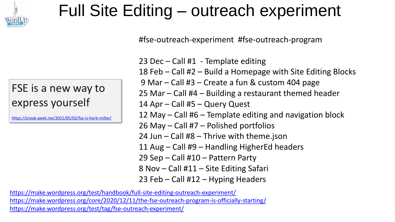

## Full Site Editing – outreach experiment

#fse-outreach-experiment #fse-outreach-program

#### FSE is a new way to express yourself

<https://sneak-peek.me/2021/05/02/fse-is-herb-miller/>

23 Dec – Call #1 - Template editing 18 Feb – Call #2 – Build a Homepage with Site Editing Blocks 9 Mar – Call #3 – Create a fun & custom 404 page 25 Mar – Call #4 – Building a restaurant themed header 14 Apr – Call #5 – Query Quest 12 May – Call #6 – Template editing and navigation block 26 May – Call #7 – Polished portfolios 24 Jun – Call #8 – Thrive with theme.json 11 Aug – Call #9 – Handling HigherEd headers 29 Sep – Call #10 – Pattern Party 8 Nov – Call #11 – Site Editing Safari 23 Feb – Call #12 – Hyping Headers

<https://make.wordpress.org/test/handbook/full-site-editing-outreach-experiment/> <https://make.wordpress.org/core/2020/12/11/the-fse-outreach-program-is-officially-starting/> <https://make.wordpress.org/test/tag/fse-outreach-experiment/>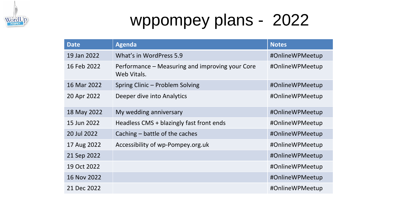

# wppompey plans - 2022

| <b>Date</b> | <b>Agenda</b>                                                  | <b>Notes</b>    |
|-------------|----------------------------------------------------------------|-----------------|
| 19 Jan 2022 | What's in WordPress 5.9                                        | #OnlineWPMeetup |
| 16 Feb 2022 | Performance – Measuring and improving your Core<br>Web Vitals. | #OnlineWPMeetup |
| 16 Mar 2022 | Spring Clinic – Problem Solving                                | #OnlineWPMeetup |
| 20 Apr 2022 | Deeper dive into Analytics                                     | #OnlineWPMeetup |
| 18 May 2022 | My wedding anniversary                                         | #OnlineWPMeetup |
| 15 Jun 2022 | Headless CMS + blazingly fast front ends                       | #OnlineWPMeetup |
| 20 Jul 2022 | Caching – battle of the caches                                 | #OnlineWPMeetup |
| 17 Aug 2022 | Accessibility of wp-Pompey.org.uk                              | #OnlineWPMeetup |
| 21 Sep 2022 |                                                                | #OnlineWPMeetup |
| 19 Oct 2022 |                                                                | #OnlineWPMeetup |
| 16 Nov 2022 |                                                                | #OnlineWPMeetup |
| 21 Dec 2022 |                                                                | #OnlineWPMeetup |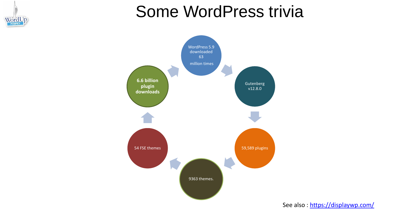

#### Some WordPress trivia



See also:<https://displaywp.com/>